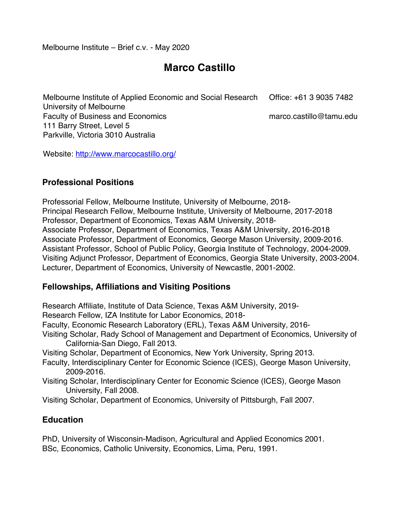Melbourne Institute – Brief c.v. - May 2020

# **Marco Castillo**

Melbourne Institute of Applied Economic and Social Research University of Melbourne Faculty of Business and Economics 111 Barry Street, Level 5 Parkville, Victoria 3010 Australia Office: +61 3 9035 7482 marco.castillo@tamu.edu

Website: http://www.marcocastillo.org/

### **Professional Positions**

Professorial Fellow, Melbourne Institute, University of Melbourne, 2018- Principal Research Fellow, Melbourne Institute, University of Melbourne, 2017-2018 Professor, Department of Economics, Texas A&M University, 2018- Associate Professor, Department of Economics, Texas A&M University, 2016-2018 Associate Professor, Department of Economics, George Mason University, 2009-2016. Assistant Professor, School of Public Policy, Georgia Institute of Technology, 2004-2009. Visiting Adjunct Professor, Department of Economics, Georgia State University, 2003-2004. Lecturer, Department of Economics, University of Newcastle, 2001-2002.

# **Fellowships, Affiliations and Visiting Positions**

Research Affiliate, Institute of Data Science, Texas A&M University, 2019-

Research Fellow, IZA Institute for Labor Economics, 2018-

Faculty, Economic Research Laboratory (ERL), Texas A&M University, 2016-

Visiting Scholar, Rady School of Management and Department of Economics, University of California-San Diego, Fall 2013.

Visiting Scholar, Department of Economics, New York University, Spring 2013.

Faculty, Interdisciplinary Center for Economic Science (ICES), George Mason University, 2009-2016.

Visiting Scholar, Interdisciplinary Center for Economic Science (ICES), George Mason University, Fall 2008.

Visiting Scholar, Department of Economics, University of Pittsburgh, Fall 2007.

# **Education**

PhD, University of Wisconsin-Madison, Agricultural and Applied Economics 2001. BSc, Economics, Catholic University, Economics, Lima, Peru, 1991.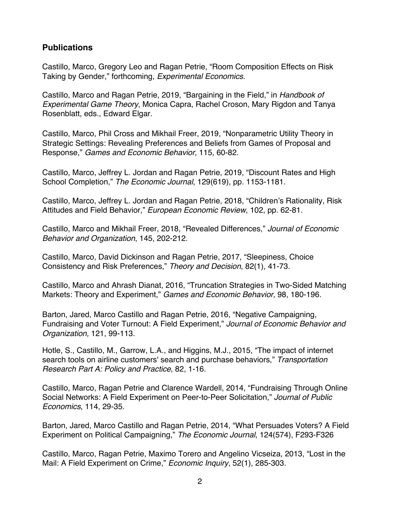# **Publications**

Castillo, Marco, Gregory Leo and Ragan Petrie, "Room Composition Effects on Risk Taking by Gender," forthcoming, *Experimental Economics*.

Castillo, Marco and Ragan Petrie, 2019, "Bargaining in the Field," in *Handbook of Experimental Game Theory*, Monica Capra, Rachel Croson, Mary Rigdon and Tanya Rosenblatt, eds., Edward Elgar.

Castillo, Marco, Phil Cross and Mikhail Freer, 2019, "Nonparametric Utility Theory in Strategic Settings: Revealing Preferences and Beliefs from Games of Proposal and Response," *Games and Economic Behavior*, 115, 60-82.

Castillo, Marco, Jeffrey L. Jordan and Ragan Petrie, 2019, "Discount Rates and High School Completion," *The Economic Journal*, 129(619), pp. 1153-1181.

Castillo, Marco, Jeffrey L. Jordan and Ragan Petrie, 2018, "Children's Rationality, Risk Attitudes and Field Behavior," *European Economic Review*, 102, pp. 62-81.

Castillo, Marco and Mikhail Freer, 2018, "Revealed Differences," *Journal of Economic Behavior and Organization*, 145, 202-212.

Castillo, Marco, David Dickinson and Ragan Petrie, 2017, "Sleepiness, Choice Consistency and Risk Preferences," *Theory and Decision*, 82(1), 41-73.

Castillo, Marco and Ahrash Dianat, 2016, "Truncation Strategies in Two-Sided Matching Markets: Theory and Experiment," *Games and Economic Behavior*, 98, 180-196.

Barton, Jared, Marco Castillo and Ragan Petrie, 2016, "Negative Campaigning, Fundraising and Voter Turnout: A Field Experiment," *Journal of Economic Behavior and Organization,* 121, 99-113.

Hotle, S., Castillo, M., Garrow, L.A., and Higgins, M.J., 2015, "The impact of internet search tools on airline customers' search and purchase behaviors," *Transportation Research Part A: Policy and Practice*, 82, 1-16.

Castillo, Marco, Ragan Petrie and Clarence Wardell, 2014, "Fundraising Through Online Social Networks: A Field Experiment on Peer-to-Peer Solicitation," *Journal of Public Economics*, 114, 29-35.

Barton, Jared, Marco Castillo and Ragan Petrie, 2014, "What Persuades Voters? A Field Experiment on Political Campaigning," *The Economic Journal*, 124(574), F293-F326

Castillo, Marco, Ragan Petrie, Maximo Torero and Angelino Vicseiza, 2013, "Lost in the Mail: A Field Experiment on Crime," *Economic Inquiry*, 52(1), 285-303.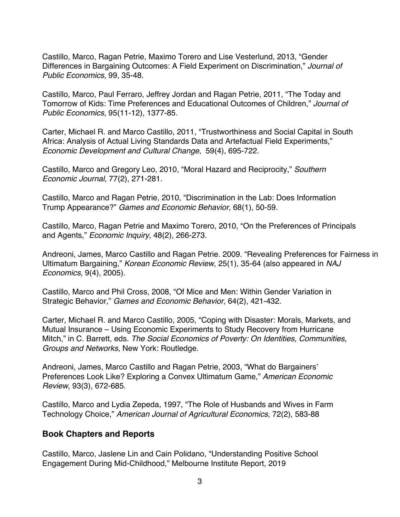Castillo, Marco, Ragan Petrie, Maximo Torero and Lise Vesterlund, 2013, "Gender Differences in Bargaining Outcomes: A Field Experiment on Discrimination," *Journal of Public Economics*, 99, 35-48.

Castillo, Marco, Paul Ferraro, Jeffrey Jordan and Ragan Petrie, 2011, "The Today and Tomorrow of Kids: Time Preferences and Educational Outcomes of Children," *Journal of Public Economics*, 95(11-12), 1377-85.

Carter, Michael R. and Marco Castillo, 2011, "Trustworthiness and Social Capital in South Africa: Analysis of Actual Living Standards Data and Artefactual Field Experiments," *Economic Development and Cultural Change*, 59(4), 695-722.

Castillo, Marco and Gregory Leo, 2010, "Moral Hazard and Reciprocity," *Southern Economic Journal*, 77(2), 271-281.

Castillo, Marco and Ragan Petrie, 2010, "Discrimination in the Lab: Does Information Trump Appearance?" *Games and Economic Behavior*, 68(1), 50-59.

Castillo, Marco, Ragan Petrie and Maximo Torero, 2010, "On the Preferences of Principals and Agents," *Economic Inquiry*, 48(2), 266-273.

Andreoni, James, Marco Castillo and Ragan Petrie. 2009. "Revealing Preferences for Fairness in Ultimatum Bargaining," *Korean Economic Review*, 25(1), 35-64 (also appeared in *NAJ Economics*, 9(4), 2005).

Castillo, Marco and Phil Cross, 2008, "Of Mice and Men: Within Gender Variation in Strategic Behavior," *Games and Economic Behavior*, 64(2), 421-432.

Carter, Michael R. and Marco Castillo, 2005, "Coping with Disaster: Morals, Markets, and Mutual Insurance – Using Economic Experiments to Study Recovery from Hurricane Mitch," in C. Barrett, eds. *The Social Economics of Poverty: On Identities, Communities, Groups and Networks*, New York: Routledge.

Andreoni, James, Marco Castillo and Ragan Petrie, 2003, "What do Bargainers' Preferences Look Like? Exploring a Convex Ultimatum Game," *American Economic Review*, 93(3), 672-685.

Castillo, Marco and Lydia Zepeda, 1997, "The Role of Husbands and Wives in Farm Technology Choice," *American Journal of Agricultural Economics*, 72(2), 583-88

# **Book Chapters and Reports**

Castillo, Marco, Jaslene Lin and Cain Polidano, "Understanding Positive School Engagement During Mid-Childhood," Melbourne Institute Report, 2019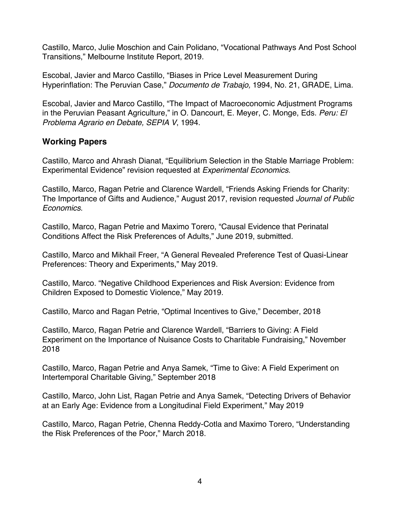Castillo, Marco, Julie Moschion and Cain Polidano, "Vocational Pathways And Post School Transitions," Melbourne Institute Report, 2019.

Escobal, Javier and Marco Castillo, "Biases in Price Level Measurement During Hyperinflation: The Peruvian Case," *Documento de Trabajo,* 1994, No. 21, GRADE, Lima.

Escobal, Javier and Marco Castillo, "The Impact of Macroeconomic Adjustment Programs in the Peruvian Peasant Agriculture," in O. Dancourt, E. Meyer, C. Monge, Eds. *Peru: El Problema Agrario en Debate, SEPIA V*, 1994.

### **Working Papers**

Castillo, Marco and Ahrash Dianat, "Equilibrium Selection in the Stable Marriage Problem: Experimental Evidence" revision requested at *Experimental Economics*.

Castillo, Marco, Ragan Petrie and Clarence Wardell, "Friends Asking Friends for Charity: The Importance of Gifts and Audience," August 2017, revision requested *Journal of Public Economics*.

Castillo, Marco, Ragan Petrie and Maximo Torero, "Causal Evidence that Perinatal Conditions Affect the Risk Preferences of Adults," June 2019, submitted.

Castillo, Marco and Mikhail Freer, "A General Revealed Preference Test of Quasi-Linear Preferences: Theory and Experiments," May 2019.

Castillo, Marco. "Negative Childhood Experiences and Risk Aversion: Evidence from Children Exposed to Domestic Violence," May 2019.

Castillo, Marco and Ragan Petrie, "Optimal Incentives to Give," December, 2018

Castillo, Marco, Ragan Petrie and Clarence Wardell, "Barriers to Giving: A Field Experiment on the Importance of Nuisance Costs to Charitable Fundraising," November 2018

Castillo, Marco, Ragan Petrie and Anya Samek, "Time to Give: A Field Experiment on Intertemporal Charitable Giving," September 2018

Castillo, Marco, John List, Ragan Petrie and Anya Samek, "Detecting Drivers of Behavior at an Early Age: Evidence from a Longitudinal Field Experiment," May 2019

Castillo, Marco, Ragan Petrie, Chenna Reddy-Cotla and Maximo Torero, "Understanding the Risk Preferences of the Poor," March 2018.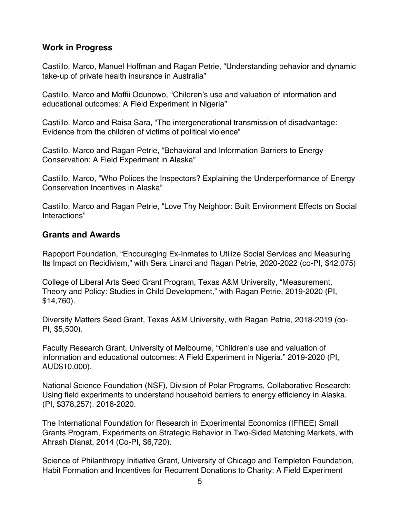### **Work in Progress**

Castillo, Marco, Manuel Hoffman and Ragan Petrie, "Understanding behavior and dynamic take-up of private health insurance in Australia"

Castillo, Marco and Moffii Odunowo, "Children's use and valuation of information and educational outcomes: A Field Experiment in Nigeria"

Castillo, Marco and Raisa Sara, "The intergenerational transmission of disadvantage: Evidence from the children of victims of political violence"

Castillo, Marco and Ragan Petrie, "Behavioral and Information Barriers to Energy Conservation: A Field Experiment in Alaska"

Castillo, Marco, "Who Polices the Inspectors? Explaining the Underperformance of Energy Conservation Incentives in Alaska"

Castillo, Marco and Ragan Petrie, "Love Thy Neighbor: Built Environment Effects on Social Interactions"

### **Grants and Awards**

Rapoport Foundation, "Encouraging Ex-Inmates to Utilize Social Services and Measuring Its Impact on Recidivism," with Sera Linardi and Ragan Petrie, 2020-2022 (co-PI, \$42,075)

College of Liberal Arts Seed Grant Program, Texas A&M University, "Measurement, Theory and Policy: Studies in Child Development," with Ragan Petrie, 2019-2020 (PI, \$14,760).

Diversity Matters Seed Grant, Texas A&M University, with Ragan Petrie, 2018-2019 (co-PI, \$5,500).

Faculty Research Grant, University of Melbourne, "Children's use and valuation of information and educational outcomes: A Field Experiment in Nigeria." 2019-2020 (PI, AUD\$10,000).

National Science Foundation (NSF), Division of Polar Programs, Collaborative Research: Using field experiments to understand household barriers to energy efficiency in Alaska. (PI, \$378,257). 2016-2020.

The International Foundation for Research in Experimental Economics (IFREE) Small Grants Program, Experiments on Strategic Behavior in Two-Sided Matching Markets, with Ahrash Dianat, 2014 (Co-PI, \$6,720).

Science of Philanthropy Initiative Grant, University of Chicago and Templeton Foundation, Habit Formation and Incentives for Recurrent Donations to Charity: A Field Experiment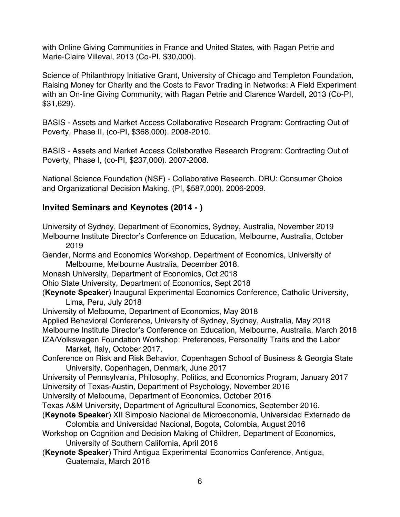with Online Giving Communities in France and United States, with Ragan Petrie and Marie-Claire Villeval, 2013 (Co-PI, \$30,000).

Science of Philanthropy Initiative Grant, University of Chicago and Templeton Foundation, Raising Money for Charity and the Costs to Favor Trading in Networks: A Field Experiment with an On-line Giving Community, with Ragan Petrie and Clarence Wardell, 2013 (Co-PI, \$31,629).

BASIS - Assets and Market Access Collaborative Research Program: Contracting Out of Poverty, Phase II, (co-PI, \$368,000). 2008-2010.

BASIS - Assets and Market Access Collaborative Research Program: Contracting Out of Poverty, Phase I, (co-PI, \$237,000). 2007-2008.

National Science Foundation (NSF) - Collaborative Research. DRU: Consumer Choice and Organizational Decision Making. (PI, \$587,000). 2006-2009.

# **Invited Seminars and Keynotes (2014 - )**

- University of Sydney, Department of Economics, Sydney, Australia, November 2019 Melbourne Institute Director's Conference on Education, Melbourne, Australia, October 2019
- Gender, Norms and Economics Workshop, Department of Economics, University of Melbourne, Melbourne Australia, December 2018.
- Monash University, Department of Economics, Oct 2018
- Ohio State University, Department of Economics, Sept 2018
- (**Keynote Speaker**) Inaugural Experimental Economics Conference, Catholic University, Lima, Peru, July 2018
- University of Melbourne, Department of Economics, May 2018
- Applied Behavioral Conference, University of Sydney, Sydney, Australia, May 2018 Melbourne Institute Director's Conference on Education, Melbourne, Australia, March 2018 IZA/Volkswagen Foundation Workshop: Preferences, Personality Traits and the Labor
	- Market, Italy, October 2017.
- Conference on Risk and Risk Behavior, Copenhagen School of Business & Georgia State University, Copenhagen, Denmark, June 2017
- University of Pennsylvania, Philosophy, Politics, and Economics Program, January 2017 University of Texas-Austin, Department of Psychology, November 2016

University of Melbourne, Department of Economics, October 2016

- Texas A&M University, Department of Agricultural Economics, September 2016.
- (**Keynote Speaker**) XII Simposio Nacional de Microeconomia, Universidad Externado de Colombia and Universidad Nacional, Bogota, Colombia, August 2016
- Workshop on Cognition and Decision Making of Children, Department of Economics, University of Southern California, April 2016
- (**Keynote Speaker**) Third Antigua Experimental Economics Conference, Antigua, Guatemala, March 2016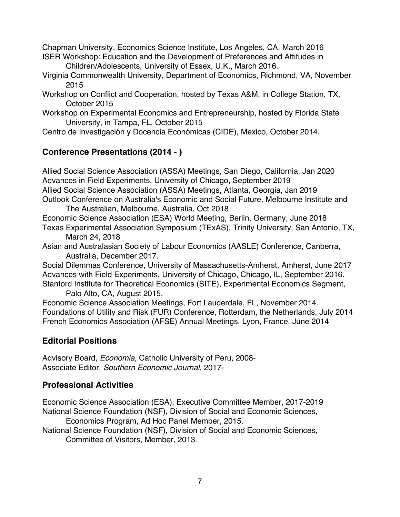Chapman University, Economics Science Institute, Los Angeles, CA, March 2016 ISER Workshop: Education and the Development of Preferences and Attitudes in Children/Adolescents, University of Essex, U.K., March 2016.

- Virginia Commonwealth University, Department of Economics, Richmond, VA, November 2015
- Workshop on Conflict and Cooperation, hosted by Texas A&M, in College Station, TX, October 2015
- Workshop on Experimental Economics and Entrepreneurship, hosted by Florida State University, in Tampa, FL, October 2015

Centro de Investigación y Docencia Económicas (CIDE), Mexico, October 2014.

# **Conference Presentations (2014 - )**

Allied Social Science Association (ASSA) Meetings, San Diego, California, Jan 2020 Advances in Field Experiments, University of Chicago, September 2019 Allied Social Science Association (ASSA) Meetings, Atlanta, Georgia, Jan 2019 Outlook Conference on Australia's Economic and Social Future, Melbourne Institute and The Australian, Melbourne, Australia, Oct 2018 Economic Science Association (ESA) World Meeting, Berlin, Germany, June 2018 Texas Experimental Association Symposium (TExAS), Trinity University, San Antonio, TX, March 24, 2018

Asian and Australasian Society of Labour Economics (AASLE) Conference, Canberra, Australia, December 2017.

Social Dilemmas Conference, University of Massachusetts-Amherst, Amherst, June 2017 Advances with Field Experiments, University of Chicago, Chicago, IL, September 2016. Stanford Institute for Theoretical Economics (SITE), Experimental Economics Segment,

Palo Alto, CA, August 2015.

Economic Science Association Meetings, Fort Lauderdale, FL, November 2014. Foundations of Utility and Risk (FUR) Conference, Rotterdam, the Netherlands, July 2014 French Economics Association (AFSE) Annual Meetings, Lyon, France, June 2014

# **Editorial Positions**

Advisory Board, *Economia,* Catholic University of Peru, 2008- Associate Editor, *Southern Economic Journal*, 2017-

# **Professional Activities**

Economic Science Association (ESA), Executive Committee Member, 2017-2019 National Science Foundation (NSF), Division of Social and Economic Sciences,

Economics Program, Ad Hoc Panel Member, 2015.

National Science Foundation (NSF), Division of Social and Economic Sciences, Committee of Visitors, Member, 2013.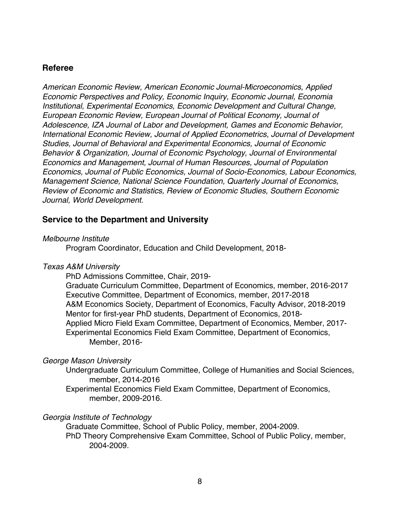### **Referee**

*American Economic Review, American Economic Journal-Microeconomics, Applied Economic Perspectives and Policy, Economic Inquiry, Economic Journal, Economia Institutional, Experimental Economics, Economic Development and Cultural Change, European Economic Review, European Journal of Political Economy, Journal of Adolescence, IZA Journal of Labor and Development, Games and Economic Behavior, International Economic Review, Journal of Applied Econometrics, Journal of Development Studies, Journal of Behavioral and Experimental Economics, Journal of Economic Behavior & Organization, Journal of Economic Psychology, Journal of Environmental Economics and Management, Journal of Human Resources, Journal of Population Economics, Journal of Public Economics, Journal of Socio-Economics, Labour Economics, Management Science, National Science Foundation, Quarterly Journal of Economics, Review of Economic and Statistics, Review of Economic Studies, Southern Economic Journal, World Development.*

### **Service to the Department and University**

#### *Melbourne Institute*

Program Coordinator, Education and Child Development, 2018-

#### *Texas A&M University*

PhD Admissions Committee, Chair, 2019-

Graduate Curriculum Committee, Department of Economics, member, 2016-2017 Executive Committee, Department of Economics, member, 2017-2018 A&M Economics Society, Department of Economics, Faculty Advisor, 2018-2019 Mentor for first-year PhD students, Department of Economics, 2018- Applied Micro Field Exam Committee, Department of Economics, Member, 2017- Experimental Economics Field Exam Committee, Department of Economics, Member, 2016-

#### *George Mason University*

Undergraduate Curriculum Committee, College of Humanities and Social Sciences, member, 2014-2016

Experimental Economics Field Exam Committee, Department of Economics, member, 2009-2016.

#### *Georgia Institute of Technology*

Graduate Committee, School of Public Policy, member, 2004-2009. PhD Theory Comprehensive Exam Committee, School of Public Policy, member, 2004-2009.